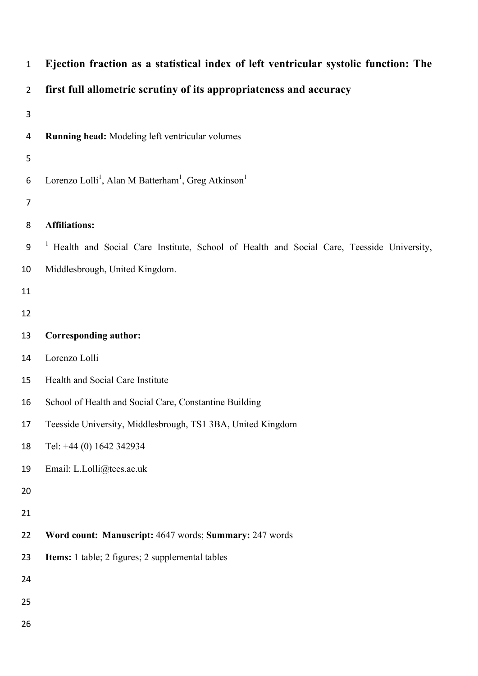| $\mathbf{1}$   | Ejection fraction as a statistical index of left ventricular systolic function: The                   |
|----------------|-------------------------------------------------------------------------------------------------------|
| $\overline{2}$ | first full allometric scrutiny of its appropriateness and accuracy                                    |
| 3              |                                                                                                       |
| 4              | Running head: Modeling left ventricular volumes                                                       |
| 5              |                                                                                                       |
| 6              | Lorenzo Lolli <sup>1</sup> , Alan M Batterham <sup>1</sup> , Greg Atkinson <sup>1</sup>               |
| 7              |                                                                                                       |
| 8              | <b>Affiliations:</b>                                                                                  |
| 9              | <sup>1</sup> Health and Social Care Institute, School of Health and Social Care, Teesside University, |
| 10             | Middlesbrough, United Kingdom.                                                                        |
| 11             |                                                                                                       |
| 12             |                                                                                                       |
| 13             | <b>Corresponding author:</b>                                                                          |
| 14             | Lorenzo Lolli                                                                                         |
| 15             | Health and Social Care Institute                                                                      |
| 16             | School of Health and Social Care, Constantine Building                                                |
| 17             | Teesside University, Middlesbrough, TS1 3BA, United Kingdom                                           |
| 18             | Tel: +44 (0) 1642 342934                                                                              |
| 19             | Email: L.Lolli@tees.ac.uk                                                                             |
| 20             |                                                                                                       |
| 21             |                                                                                                       |
| 22             | Word count: Manuscript: 4647 words; Summary: 247 words                                                |
| 23             | Items: 1 table; 2 figures; 2 supplemental tables                                                      |
| 24             |                                                                                                       |
| 25             |                                                                                                       |
| 26             |                                                                                                       |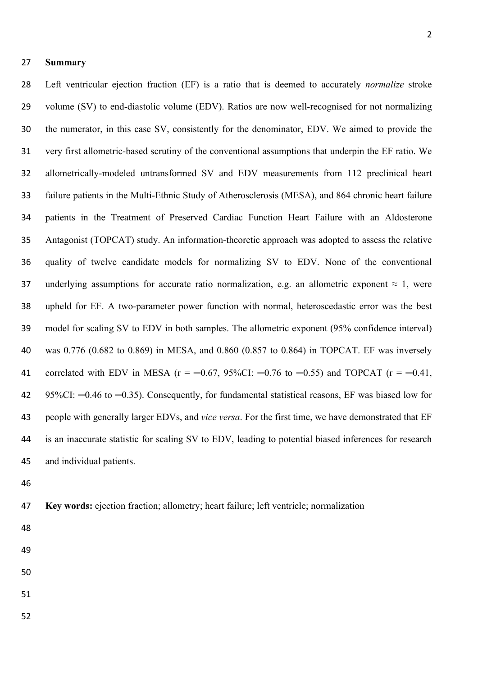## **Summary**

 Left ventricular ejection fraction (EF) is a ratio that is deemed to accurately *normalize* stroke volume (SV) to end-diastolic volume (EDV). Ratios are now well-recognised for not normalizing the numerator, in this case SV, consistently for the denominator, EDV. We aimed to provide the very first allometric-based scrutiny of the conventional assumptions that underpin the EF ratio. We allometrically-modeled untransformed SV and EDV measurements from 112 preclinical heart failure patients in the Multi-Ethnic Study of Atherosclerosis (MESA), and 864 chronic heart failure patients in the Treatment of Preserved Cardiac Function Heart Failure with an Aldosterone Antagonist (TOPCAT) study. An information-theoretic approach was adopted to assess the relative quality of twelve candidate models for normalizing SV to EDV. None of the conventional 37 underlying assumptions for accurate ratio normalization, e.g. an allometric exponent  $\approx 1$ , were upheld for EF. A two-parameter power function with normal, heteroscedastic error was the best model for scaling SV to EDV in both samples. The allometric exponent (95% confidence interval) was 0.776 (0.682 to 0.869) in MESA, and 0.860 (0.857 to 0.864) in TOPCAT. EF was inversely 41 correlated with EDV in MESA ( $r = -0.67$ , 95%CI:  $-0.76$  to  $-0.55$ ) and TOPCAT ( $r = -0.41$ , 95%CI: ─0.46 to ─0.35). Consequently, for fundamental statistical reasons, EF was biased low for people with generally larger EDVs, and *vice versa*. For the first time, we have demonstrated that EF is an inaccurate statistic for scaling SV to EDV, leading to potential biased inferences for research and individual patients.

- 
- **Key words:** ejection fraction; allometry; heart failure; left ventricle; normalization
- 
- 
- 
- 
-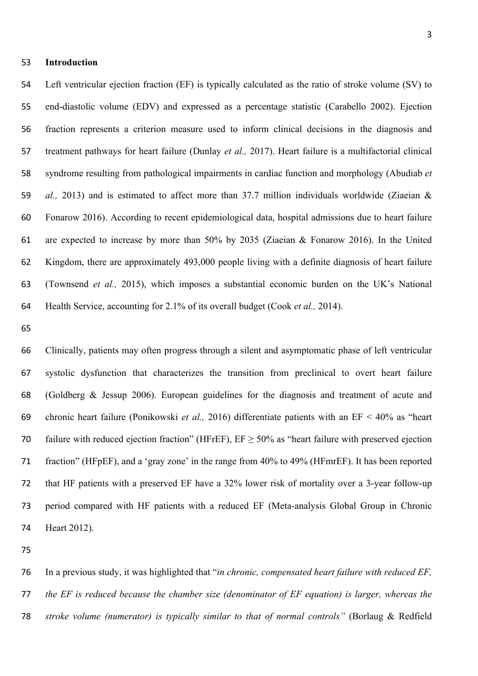### **Introduction**

 Left ventricular ejection fraction (EF) is typically calculated as the ratio of stroke volume (SV) to end-diastolic volume (EDV) and expressed as a percentage statistic (Carabello 2002). Ejection fraction represents a criterion measure used to inform clinical decisions in the diagnosis and treatment pathways for heart failure (Dunlay *et al.,* 2017). Heart failure is a multifactorial clinical syndrome resulting from pathological impairments in cardiac function and morphology (Abudiab *et al.,* 2013) and is estimated to affect more than 37.7 million individuals worldwide (Ziaeian & Fonarow 2016). According to recent epidemiological data, hospital admissions due to heart failure are expected to increase by more than 50% by 2035 (Ziaeian & Fonarow 2016). In the United Kingdom, there are approximately 493,000 people living with a definite diagnosis of heart failure (Townsend *et al.,* 2015), which imposes a substantial economic burden on the UK's National Health Service, accounting for 2.1% of its overall budget (Cook *et al.,* 2014).

 Clinically, patients may often progress through a silent and asymptomatic phase of left ventricular systolic dysfunction that characterizes the transition from preclinical to overt heart failure (Goldberg & Jessup 2006). European guidelines for the diagnosis and treatment of acute and chronic heart failure (Ponikowski *et al.,* 2016) differentiate patients with an EF < 40% as "heart 70 failure with reduced ejection fraction" (HFrEF), EF  $> 50\%$  as "heart failure with preserved ejection fraction" (HFpEF), and a 'gray zone' in the range from 40% to 49% (HFmrEF). It has been reported that HF patients with a preserved EF have a 32% lower risk of mortality over a 3-year follow-up period compared with HF patients with a reduced EF (Meta-analysis Global Group in Chronic Heart 2012).

 In a previous study, it was highlighted that "*in chronic, compensated heart failure with reduced EF, the EF is reduced because the chamber size (denominator of EF equation) is larger, whereas the stroke volume (numerator) is typically similar to that of normal controls"* (Borlaug & Redfield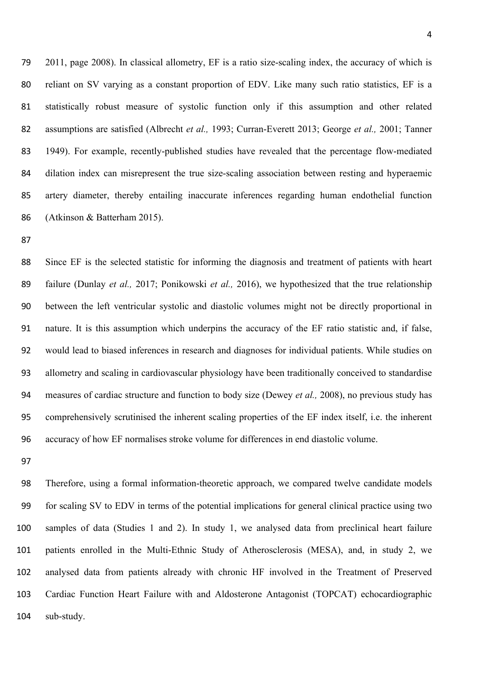2011, page 2008). In classical allometry, EF is a ratio size-scaling index, the accuracy of which is 80 reliant on SV varying as a constant proportion of EDV. Like many such ratio statistics, EF is a statistically robust measure of systolic function only if this assumption and other related assumptions are satisfied (Albrecht *et al.,* 1993; Curran-Everett 2013; George *et al.,* 2001; Tanner 1949). For example, recently-published studies have revealed that the percentage flow-mediated dilation index can misrepresent the true size-scaling association between resting and hyperaemic artery diameter, thereby entailing inaccurate inferences regarding human endothelial function (Atkinson & Batterham 2015).

 Since EF is the selected statistic for informing the diagnosis and treatment of patients with heart failure (Dunlay *et al.,* 2017; Ponikowski *et al.,* 2016), we hypothesized that the true relationship between the left ventricular systolic and diastolic volumes might not be directly proportional in nature. It is this assumption which underpins the accuracy of the EF ratio statistic and, if false, would lead to biased inferences in research and diagnoses for individual patients. While studies on allometry and scaling in cardiovascular physiology have been traditionally conceived to standardise measures of cardiac structure and function to body size (Dewey *et al.,* 2008), no previous study has comprehensively scrutinised the inherent scaling properties of the EF index itself, i.e. the inherent accuracy of how EF normalises stroke volume for differences in end diastolic volume.

 Therefore, using a formal information-theoretic approach, we compared twelve candidate models for scaling SV to EDV in terms of the potential implications for general clinical practice using two samples of data (Studies 1 and 2). In study 1, we analysed data from preclinical heart failure patients enrolled in the Multi-Ethnic Study of Atherosclerosis (MESA), and, in study 2, we analysed data from patients already with chronic HF involved in the Treatment of Preserved Cardiac Function Heart Failure with and Aldosterone Antagonist (TOPCAT) echocardiographic sub-study.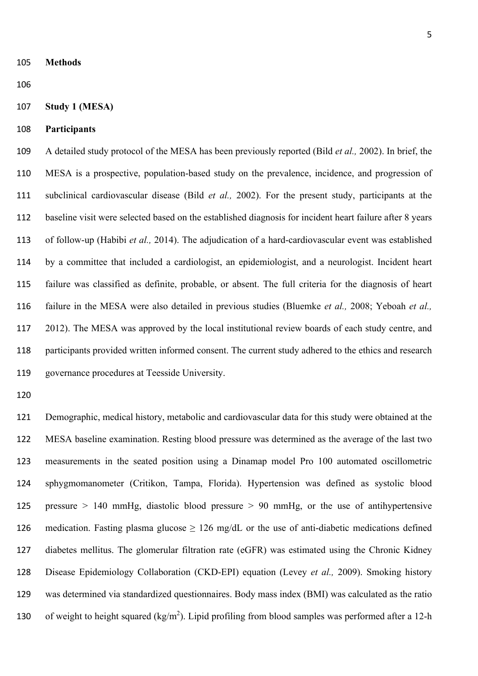#### **Methods**

# 

## **Study 1 (MESA)**

# **Participants**

 A detailed study protocol of the MESA has been previously reported (Bild *et al.,* 2002). In brief, the MESA is a prospective, population-based study on the prevalence, incidence, and progression of subclinical cardiovascular disease (Bild *et al.,* 2002). For the present study, participants at the baseline visit were selected based on the established diagnosis for incident heart failure after 8 years of follow-up (Habibi *et al.,* 2014). The adjudication of a hard-cardiovascular event was established by a committee that included a cardiologist, an epidemiologist, and a neurologist. Incident heart failure was classified as definite, probable, or absent. The full criteria for the diagnosis of heart failure in the MESA were also detailed in previous studies (Bluemke *et al.,* 2008; Yeboah *et al.,* 2012). The MESA was approved by the local institutional review boards of each study centre, and participants provided written informed consent. The current study adhered to the ethics and research governance procedures at Teesside University.

 Demographic, medical history, metabolic and cardiovascular data for this study were obtained at the MESA baseline examination. Resting blood pressure was determined as the average of the last two measurements in the seated position using a Dinamap model Pro 100 automated oscillometric sphygmomanometer (Critikon, Tampa, Florida). Hypertension was defined as systolic blood pressure > 140 mmHg, diastolic blood pressure > 90 mmHg, or the use of antihypertensive 126 medication. Fasting plasma glucose  $\geq$  126 mg/dL or the use of anti-diabetic medications defined diabetes mellitus. The glomerular filtration rate (eGFR) was estimated using the Chronic Kidney Disease Epidemiology Collaboration (CKD-EPI) equation (Levey *et al.,* 2009). Smoking history was determined via standardized questionnaires. Body mass index (BMI) was calculated as the ratio 130 of weight to height squared  $(kg/m^2)$ . Lipid profiling from blood samples was performed after a 12-h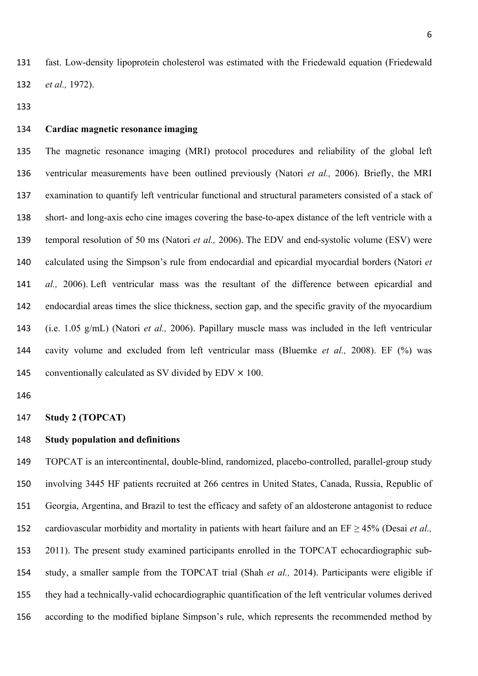fast. Low-density lipoprotein cholesterol was estimated with the Friedewald equation (Friedewald *et al.,* 1972).

## **Cardiac magnetic resonance imaging**

 The magnetic resonance imaging (MRI) protocol procedures and reliability of the global left ventricular measurements have been outlined previously (Natori *et al.,* 2006). Briefly, the MRI examination to quantify left ventricular functional and structural parameters consisted of a stack of short- and long-axis echo cine images covering the base-to-apex distance of the left ventricle with a temporal resolution of 50 ms (Natori *et al.,* 2006). The EDV and end-systolic volume (ESV) were calculated using the Simpson's rule from endocardial and epicardial myocardial borders (Natori *et al.,* 2006). Left ventricular mass was the resultant of the difference between epicardial and endocardial areas times the slice thickness, section gap, and the specific gravity of the myocardium (i.e. 1.05 g/mL) (Natori *et al.,* 2006). Papillary muscle mass was included in the left ventricular cavity volume and excluded from left ventricular mass (Bluemke *et al.,* 2008). EF (%) was 145 conventionally calculated as SV divided by  $EDV \times 100$ .

### **Study 2 (TOPCAT)**

# **Study population and definitions**

 TOPCAT is an intercontinental, double-blind, randomized, placebo-controlled, parallel-group study involving 3445 HF patients recruited at 266 centres in United States, Canada, Russia, Republic of Georgia, Argentina, and Brazil to test the efficacy and safety of an aldosterone antagonist to reduce cardiovascular morbidity and mortality in patients with heart failure and an EF ≥ 45% (Desai *et al.,* 2011). The present study examined participants enrolled in the TOPCAT echocardiographic sub- study, a smaller sample from the TOPCAT trial (Shah *et al.,* 2014). Participants were eligible if they had a technically-valid echocardiographic quantification of the left ventricular volumes derived according to the modified biplane Simpson's rule, which represents the recommended method by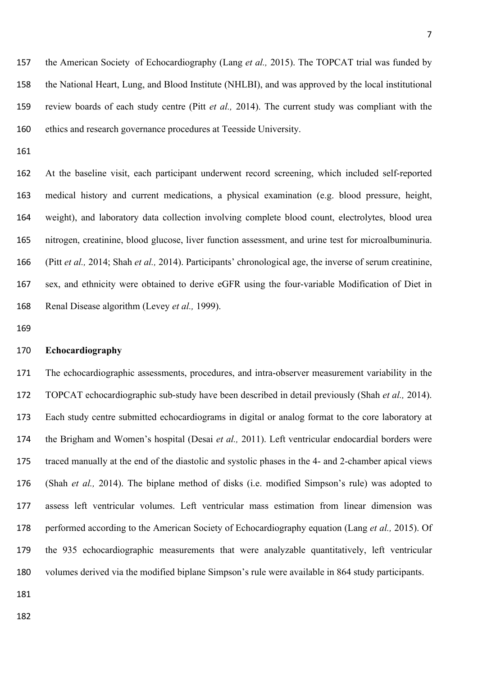the American Society of Echocardiography (Lang *et al.,* 2015). The TOPCAT trial was funded by the National Heart, Lung, and Blood Institute (NHLBI), and was approved by the local institutional review boards of each study centre (Pitt *et al.,* 2014). The current study was compliant with the ethics and research governance procedures at Teesside University.

 At the baseline visit, each participant underwent record screening, which included self-reported medical history and current medications, a physical examination (e.g. blood pressure, height, weight), and laboratory data collection involving complete blood count, electrolytes, blood urea nitrogen, creatinine, blood glucose, liver function assessment, and urine test for microalbuminuria. (Pitt *et al.,* 2014; Shah *et al.,* 2014). Participants' chronological age, the inverse of serum creatinine, sex, and ethnicity were obtained to derive eGFR using the four-variable Modification of Diet in Renal Disease algorithm (Levey *et al.,* 1999).

# **Echocardiography**

 The echocardiographic assessments, procedures, and intra-observer measurement variability in the TOPCAT echocardiographic sub-study have been described in detail previously (Shah *et al.,* 2014). Each study centre submitted echocardiograms in digital or analog format to the core laboratory at the Brigham and Women's hospital (Desai *et al.,* 2011). Left ventricular endocardial borders were traced manually at the end of the diastolic and systolic phases in the 4- and 2-chamber apical views (Shah *et al.,* 2014). The biplane method of disks (i.e. modified Simpson's rule) was adopted to assess left ventricular volumes. Left ventricular mass estimation from linear dimension was performed according to the American Society of Echocardiography equation (Lang *et al.,* 2015). Of the 935 echocardiographic measurements that were analyzable quantitatively, left ventricular volumes derived via the modified biplane Simpson's rule were available in 864 study participants.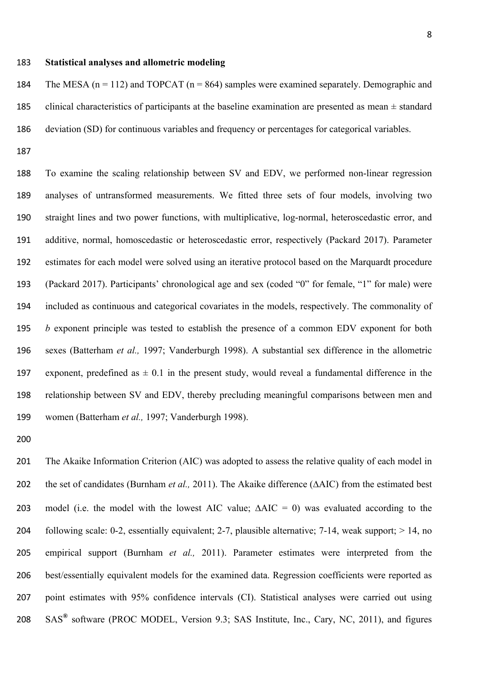### **Statistical analyses and allometric modeling**

184 The MESA ( $n = 112$ ) and TOPCAT ( $n = 864$ ) samples were examined separately. Demographic and clinical characteristics of participants at the baseline examination are presented as mean ± standard deviation (SD) for continuous variables and frequency or percentages for categorical variables.

 To examine the scaling relationship between SV and EDV, we performed non-linear regression analyses of untransformed measurements. We fitted three sets of four models, involving two straight lines and two power functions, with multiplicative, log-normal, heteroscedastic error, and additive, normal, homoscedastic or heteroscedastic error, respectively (Packard 2017). Parameter estimates for each model were solved using an iterative protocol based on the Marquardt procedure (Packard 2017). Participants' chronological age and sex (coded "0" for female, "1" for male) were included as continuous and categorical covariates in the models, respectively. The commonality of *b* exponent principle was tested to establish the presence of a common EDV exponent for both sexes (Batterham *et al.,* 1997; Vanderburgh 1998). A substantial sex difference in the allometric 197 exponent, predefined as  $\pm$  0.1 in the present study, would reveal a fundamental difference in the relationship between SV and EDV, thereby precluding meaningful comparisons between men and women (Batterham *et al.,* 1997; Vanderburgh 1998).

 The Akaike Information Criterion (AIC) was adopted to assess the relative quality of each model in 202 the set of candidates (Burnham *et al.*, 2011). The Akaike difference ( $\triangle AIC$ ) from the estimated best 203 model (i.e. the model with the lowest AIC value;  $\Delta AIC = 0$ ) was evaluated according to the following scale: 0-2, essentially equivalent; 2-7, plausible alternative; 7-14, weak support; > 14, no empirical support (Burnham *et al.,* 2011). Parameter estimates were interpreted from the best/essentially equivalent models for the examined data. Regression coefficients were reported as point estimates with 95% confidence intervals (CI). Statistical analyses were carried out using SAS**®** software (PROC MODEL, Version 9.3; SAS Institute, Inc., Cary, NC, 2011), and figures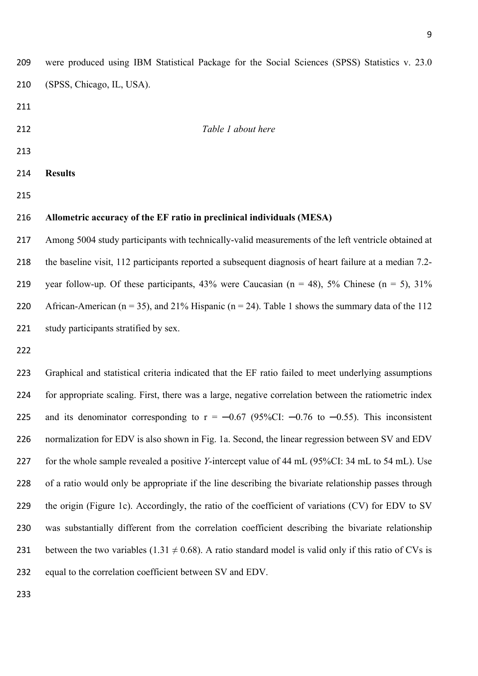| 209 | were produced using IBM Statistical Package for the Social Sciences (SPSS) Statistics v. 23.0              |
|-----|------------------------------------------------------------------------------------------------------------|
| 210 | (SPSS, Chicago, IL, USA).                                                                                  |
| 211 |                                                                                                            |
| 212 | Table 1 about here                                                                                         |
| 213 |                                                                                                            |
| 214 | <b>Results</b>                                                                                             |
| 215 |                                                                                                            |
| 216 | Allometric accuracy of the EF ratio in preclinical individuals (MESA)                                      |
| 217 | Among 5004 study participants with technically-valid measurements of the left ventricle obtained at        |
| 218 | the baseline visit, 112 participants reported a subsequent diagnosis of heart failure at a median 7.2-     |
| 219 | year follow-up. Of these participants, 43% were Caucasian $(n = 48)$ , 5% Chinese $(n = 5)$ , 31%          |
| 220 | African-American ( $n = 35$ ), and 21% Hispanic ( $n = 24$ ). Table 1 shows the summary data of the 112    |
| 221 | study participants stratified by sex.                                                                      |
| 222 |                                                                                                            |
| 223 | Graphical and statistical criteria indicated that the EF ratio failed to meet underlying assumptions       |
| 224 | for appropriate scaling. First, there was a large, negative correlation between the ratiometric index      |
| 225 | and its denominator corresponding to $r = -0.67$ (95%CI: $-0.76$ to $-0.55$ ). This inconsistent           |
| 226 | normalization for EDV is also shown in Fig. 1a. Second, the linear regression between SV and EDV           |
| 227 | for the whole sample revealed a positive Y-intercept value of 44 mL (95%CI: 34 mL to 54 mL). Use           |
| 228 | of a ratio would only be appropriate if the line describing the bivariate relationship passes through      |
| 229 | the origin (Figure 1c). Accordingly, the ratio of the coefficient of variations (CV) for EDV to SV         |
| 230 | was substantially different from the correlation coefficient describing the bivariate relationship         |
| 231 | between the two variables (1.31 $\neq$ 0.68). A ratio standard model is valid only if this ratio of CVs is |
| 232 | equal to the correlation coefficient between SV and EDV.                                                   |
| 233 |                                                                                                            |
|     |                                                                                                            |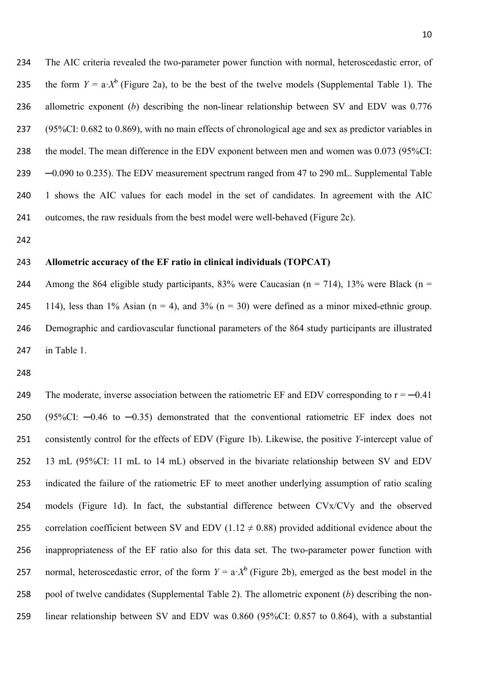The AIC criteria revealed the two-parameter power function with normal, heteroscedastic error, of 235 the form  $Y = a \cdot X^b$  (Figure 2a), to be the best of the twelve models (Supplemental Table 1). The allometric exponent (*b*) describing the non-linear relationship between SV and EDV was 0.776 (95%CI: 0.682 to 0.869), with no main effects of chronological age and sex as predictor variables in the model. The mean difference in the EDV exponent between men and women was 0.073 (95%CI:  $-0.090$  to 0.235). The EDV measurement spectrum ranged from 47 to 290 mL. Supplemental Table 1 shows the AIC values for each model in the set of candidates. In agreement with the AIC outcomes, the raw residuals from the best model were well-behaved (Figure 2c).

# **Allometric accuracy of the EF ratio in clinical individuals (TOPCAT)**

244 Among the 864 eligible study participants, 83% were Caucasian ( $n = 714$ ), 13% were Black ( $n =$ 245 114), less than 1% Asian (n = 4), and 3% (n = 30) were defined as a minor mixed-ethnic group. Demographic and cardiovascular functional parameters of the 864 study participants are illustrated in Table 1.

249 The moderate, inverse association between the ratiometric EF and EDV corresponding to  $r = -0.41$ 250 (95%CI:  $-0.46$  to  $-0.35$ ) demonstrated that the conventional ratiometric EF index does not consistently control for the effects of EDV (Figure 1b). Likewise, the positive *Y*-intercept value of 13 mL (95%CI: 11 mL to 14 mL) observed in the bivariate relationship between SV and EDV indicated the failure of the ratiometric EF to meet another underlying assumption of ratio scaling models (Figure 1d). In fact, the substantial difference between CVx/CVy and the observed 255 correlation coefficient between SV and EDV (1.12  $\neq$  0.88) provided additional evidence about the inappropriateness of the EF ratio also for this data set. The two-parameter power function with 257 normal, heteroscedastic error, of the form  $Y = a \cdot X^b$  (Figure 2b), emerged as the best model in the pool of twelve candidates (Supplemental Table 2). The allometric exponent (*b*) describing the non-linear relationship between SV and EDV was 0.860 (95%CI: 0.857 to 0.864), with a substantial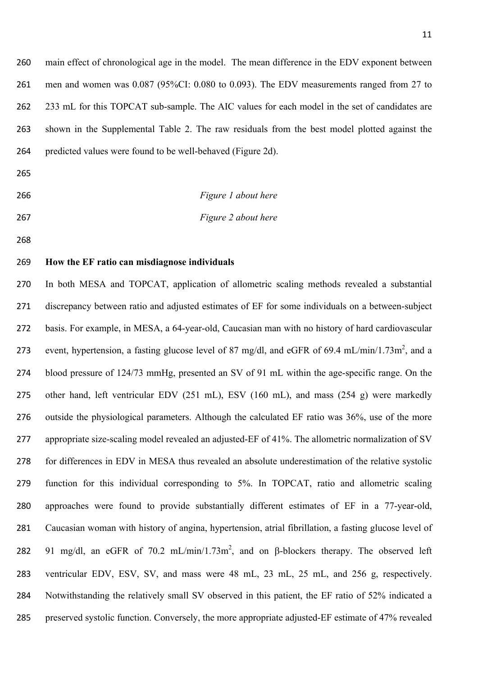main effect of chronological age in the model. The mean difference in the EDV exponent between men and women was 0.087 (95%CI: 0.080 to 0.093). The EDV measurements ranged from 27 to 262 233 mL for this TOPCAT sub-sample. The AIC values for each model in the set of candidates are shown in the Supplemental Table 2. The raw residuals from the best model plotted against the predicted values were found to be well-behaved (Figure 2d).

- 
- 
- *Figure 2 about here*

*Figure 1 about here*

### **How the EF ratio can misdiagnose individuals**

 In both MESA and TOPCAT, application of allometric scaling methods revealed a substantial discrepancy between ratio and adjusted estimates of EF for some individuals on a between-subject basis. For example, in MESA, a 64-year-old, Caucasian man with no history of hard cardiovascular 273 event, hypertension, a fasting glucose level of 87 mg/dl, and eGFR of 69.4 mL/min/1.73m<sup>2</sup>, and a blood pressure of 124/73 mmHg, presented an SV of 91 mL within the age-specific range. On the other hand, left ventricular EDV (251 mL), ESV (160 mL), and mass (254 g) were markedly outside the physiological parameters. Although the calculated EF ratio was 36%, use of the more 277 appropriate size-scaling model revealed an adjusted-EF of 41%. The allometric normalization of SV for differences in EDV in MESA thus revealed an absolute underestimation of the relative systolic function for this individual corresponding to 5%. In TOPCAT, ratio and allometric scaling approaches were found to provide substantially different estimates of EF in a 77-year-old, Caucasian woman with history of angina, hypertension, atrial fibrillation, a fasting glucose level of 282 91 mg/dl, an eGFR of 70.2 mL/min/1.73m<sup>2</sup>, and on  $\beta$ -blockers therapy. The observed left ventricular EDV, ESV, SV, and mass were 48 mL, 23 mL, 25 mL, and 256 g, respectively. Notwithstanding the relatively small SV observed in this patient, the EF ratio of 52% indicated a preserved systolic function. Conversely, the more appropriate adjusted-EF estimate of 47% revealed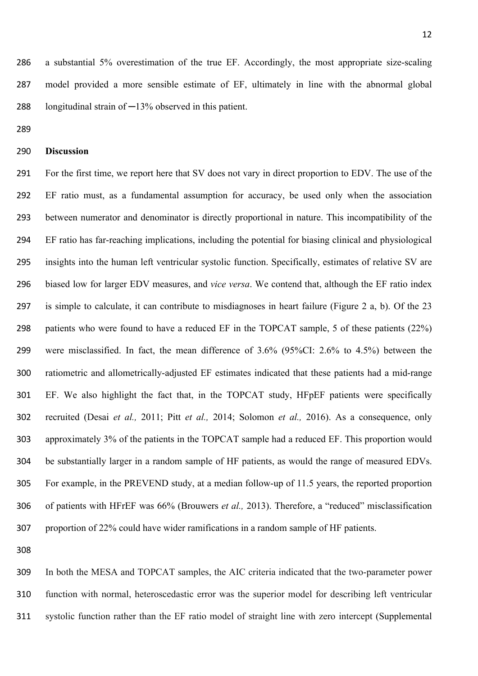a substantial 5% overestimation of the true EF. Accordingly, the most appropriate size-scaling model provided a more sensible estimate of EF, ultimately in line with the abnormal global longitudinal strain of ─13% observed in this patient.

### **Discussion**

 For the first time, we report here that SV does not vary in direct proportion to EDV. The use of the EF ratio must, as a fundamental assumption for accuracy, be used only when the association between numerator and denominator is directly proportional in nature. This incompatibility of the EF ratio has far-reaching implications, including the potential for biasing clinical and physiological insights into the human left ventricular systolic function. Specifically, estimates of relative SV are biased low for larger EDV measures, and *vice versa*. We contend that, although the EF ratio index is simple to calculate, it can contribute to misdiagnoses in heart failure (Figure 2 a, b). Of the 23 patients who were found to have a reduced EF in the TOPCAT sample, 5 of these patients (22%) were misclassified. In fact, the mean difference of 3.6% (95%CI: 2.6% to 4.5%) between the ratiometric and allometrically-adjusted EF estimates indicated that these patients had a mid-range EF. We also highlight the fact that, in the TOPCAT study, HFpEF patients were specifically recruited (Desai *et al.,* 2011; Pitt *et al.,* 2014; Solomon *et al.,* 2016). As a consequence, only approximately 3% of the patients in the TOPCAT sample had a reduced EF. This proportion would be substantially larger in a random sample of HF patients, as would the range of measured EDVs. For example, in the PREVEND study, at a median follow-up of 11.5 years, the reported proportion of patients with HFrEF was 66% (Brouwers *et al.,* 2013). Therefore, a "reduced" misclassification proportion of 22% could have wider ramifications in a random sample of HF patients.

 In both the MESA and TOPCAT samples, the AIC criteria indicated that the two-parameter power function with normal, heteroscedastic error was the superior model for describing left ventricular systolic function rather than the EF ratio model of straight line with zero intercept (Supplemental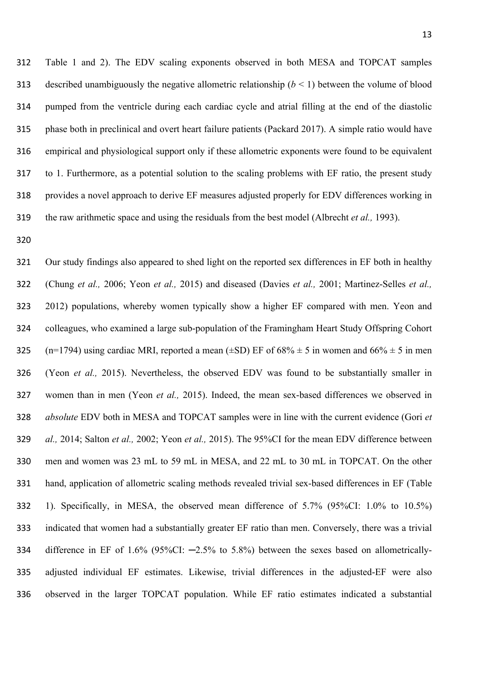Table 1 and 2). The EDV scaling exponents observed in both MESA and TOPCAT samples 313 described unambiguously the negative allometric relationship  $(b \le 1)$  between the volume of blood pumped from the ventricle during each cardiac cycle and atrial filling at the end of the diastolic phase both in preclinical and overt heart failure patients (Packard 2017). A simple ratio would have empirical and physiological support only if these allometric exponents were found to be equivalent to 1. Furthermore, as a potential solution to the scaling problems with EF ratio, the present study provides a novel approach to derive EF measures adjusted properly for EDV differences working in the raw arithmetic space and using the residuals from the best model (Albrecht *et al.,* 1993).

 Our study findings also appeared to shed light on the reported sex differences in EF both in healthy (Chung *et al.,* 2006; Yeon *et al.,* 2015) and diseased (Davies *et al.,* 2001; Martinez-Selles *et al.,* 2012) populations, whereby women typically show a higher EF compared with men. Yeon and colleagues, who examined a large sub-population of the Framingham Heart Study Offspring Cohort 325 (n=1794) using cardiac MRI, reported a mean ( $\pm$ SD) EF of 68%  $\pm$  5 in women and 66%  $\pm$  5 in men (Yeon *et al.,* 2015). Nevertheless, the observed EDV was found to be substantially smaller in women than in men (Yeon *et al.,* 2015). Indeed, the mean sex-based differences we observed in *absolute* EDV both in MESA and TOPCAT samples were in line with the current evidence (Gori *et al.,* 2014; Salton *et al.,* 2002; Yeon *et al.,* 2015). The 95%CI for the mean EDV difference between men and women was 23 mL to 59 mL in MESA, and 22 mL to 30 mL in TOPCAT. On the other hand, application of allometric scaling methods revealed trivial sex-based differences in EF (Table 1). Specifically, in MESA, the observed mean difference of 5.7% (95%CI: 1.0% to 10.5%) indicated that women had a substantially greater EF ratio than men. Conversely, there was a trivial difference in EF of 1.6% (95%CI: ─2.5% to 5.8%) between the sexes based on allometrically- adjusted individual EF estimates. Likewise, trivial differences in the adjusted-EF were also observed in the larger TOPCAT population. While EF ratio estimates indicated a substantial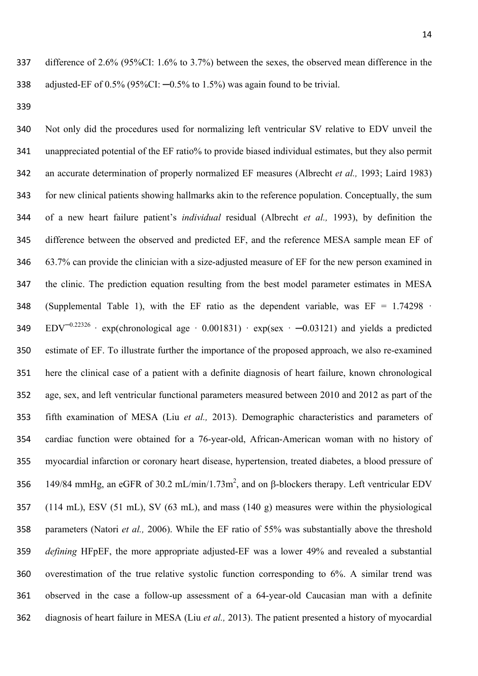difference of 2.6% (95%CI: 1.6% to 3.7%) between the sexes, the observed mean difference in the 338 adjusted-EF of  $0.5\%$  (95%CI:  $-0.5\%$  to 1.5%) was again found to be trivial.

 Not only did the procedures used for normalizing left ventricular SV relative to EDV unveil the unappreciated potential of the EF ratio% to provide biased individual estimates, but they also permit an accurate determination of properly normalized EF measures (Albrecht *et al.,* 1993; Laird 1983) for new clinical patients showing hallmarks akin to the reference population. Conceptually, the sum of a new heart failure patient's *individual* residual (Albrecht *et al.,* 1993), by definition the difference between the observed and predicted EF, and the reference MESA sample mean EF of 63.7% can provide the clinician with a size-adjusted measure of EF for the new person examined in the clinic. The prediction equation resulting from the best model parameter estimates in MESA 348 (Supplemental Table 1), with the EF ratio as the dependent variable, was  $EF = 1.74298$  $BDV^{-0.22326}$  · exp(chronological age · 0.001831) · exp(sex · -0.03121) and yields a predicted estimate of EF. To illustrate further the importance of the proposed approach, we also re-examined here the clinical case of a patient with a definite diagnosis of heart failure, known chronological age, sex, and left ventricular functional parameters measured between 2010 and 2012 as part of the fifth examination of MESA (Liu *et al.,* 2013). Demographic characteristics and parameters of cardiac function were obtained for a 76-year-old, African-American woman with no history of myocardial infarction or coronary heart disease, hypertension, treated diabetes, a blood pressure of 356 149/84 mmHg, an eGFR of 30.2 mL/min/1.73m<sup>2</sup>, and on  $\beta$ -blockers therapy. Left ventricular EDV (114 mL), ESV (51 mL), SV (63 mL), and mass (140 g) measures were within the physiological parameters (Natori *et al.,* 2006). While the EF ratio of 55% was substantially above the threshold *defining* HFpEF, the more appropriate adjusted-EF was a lower 49% and revealed a substantial overestimation of the true relative systolic function corresponding to 6%. A similar trend was observed in the case a follow-up assessment of a 64-year-old Caucasian man with a definite diagnosis of heart failure in MESA (Liu *et al.,* 2013). The patient presented a history of myocardial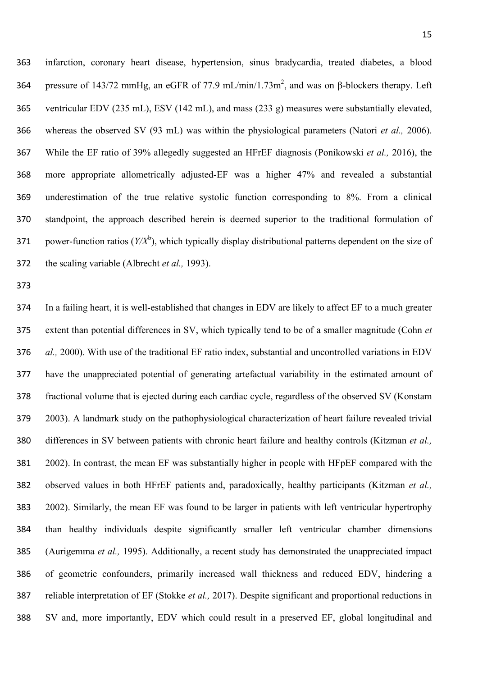infarction, coronary heart disease, hypertension, sinus bradycardia, treated diabetes, a blood 364 pressure of 143/72 mmHg, an eGFR of 77.9 mL/min/1.73m<sup>2</sup>, and was on  $\beta$ -blockers therapy. Left ventricular EDV (235 mL), ESV (142 mL), and mass (233 g) measures were substantially elevated, whereas the observed SV (93 mL) was within the physiological parameters (Natori *et al.,* 2006). While the EF ratio of 39% allegedly suggested an HFrEF diagnosis (Ponikowski *et al.,* 2016), the more appropriate allometrically adjusted-EF was a higher 47% and revealed a substantial underestimation of the true relative systolic function corresponding to 8%. From a clinical standpoint, the approach described herein is deemed superior to the traditional formulation of 371 power-function ratios  $(Y/X^b)$ , which typically display distributional patterns dependent on the size of the scaling variable (Albrecht *et al.,* 1993).

 In a failing heart, it is well-established that changes in EDV are likely to affect EF to a much greater extent than potential differences in SV, which typically tend to be of a smaller magnitude (Cohn *et al.,* 2000). With use of the traditional EF ratio index, substantial and uncontrolled variations in EDV have the unappreciated potential of generating artefactual variability in the estimated amount of fractional volume that is ejected during each cardiac cycle, regardless of the observed SV (Konstam 2003). A landmark study on the pathophysiological characterization of heart failure revealed trivial differences in SV between patients with chronic heart failure and healthy controls (Kitzman *et al.,* 2002). In contrast, the mean EF was substantially higher in people with HFpEF compared with the observed values in both HFrEF patients and, paradoxically, healthy participants (Kitzman *et al.,* 2002). Similarly, the mean EF was found to be larger in patients with left ventricular hypertrophy than healthy individuals despite significantly smaller left ventricular chamber dimensions (Aurigemma *et al.,* 1995). Additionally, a recent study has demonstrated the unappreciated impact of geometric confounders, primarily increased wall thickness and reduced EDV, hindering a reliable interpretation of EF (Stokke *et al.,* 2017). Despite significant and proportional reductions in SV and, more importantly, EDV which could result in a preserved EF, global longitudinal and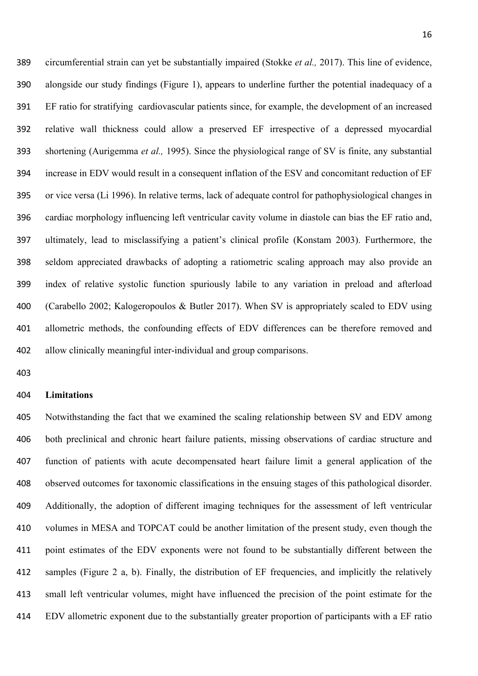circumferential strain can yet be substantially impaired (Stokke *et al.,* 2017). This line of evidence, alongside our study findings (Figure 1), appears to underline further the potential inadequacy of a EF ratio for stratifying cardiovascular patients since, for example, the development of an increased relative wall thickness could allow a preserved EF irrespective of a depressed myocardial shortening (Aurigemma *et al.,* 1995). Since the physiological range of SV is finite, any substantial increase in EDV would result in a consequent inflation of the ESV and concomitant reduction of EF or vice versa (Li 1996). In relative terms, lack of adequate control for pathophysiological changes in cardiac morphology influencing left ventricular cavity volume in diastole can bias the EF ratio and, ultimately, lead to misclassifying a patient's clinical profile (Konstam 2003). Furthermore, the seldom appreciated drawbacks of adopting a ratiometric scaling approach may also provide an index of relative systolic function spuriously labile to any variation in preload and afterload (Carabello 2002; Kalogeropoulos & Butler 2017). When SV is appropriately scaled to EDV using allometric methods, the confounding effects of EDV differences can be therefore removed and allow clinically meaningful inter-individual and group comparisons.

#### **Limitations**

 Notwithstanding the fact that we examined the scaling relationship between SV and EDV among both preclinical and chronic heart failure patients, missing observations of cardiac structure and function of patients with acute decompensated heart failure limit a general application of the observed outcomes for taxonomic classifications in the ensuing stages of this pathological disorder. Additionally, the adoption of different imaging techniques for the assessment of left ventricular volumes in MESA and TOPCAT could be another limitation of the present study, even though the point estimates of the EDV exponents were not found to be substantially different between the samples (Figure 2 a, b). Finally, the distribution of EF frequencies, and implicitly the relatively small left ventricular volumes, might have influenced the precision of the point estimate for the EDV allometric exponent due to the substantially greater proportion of participants with a EF ratio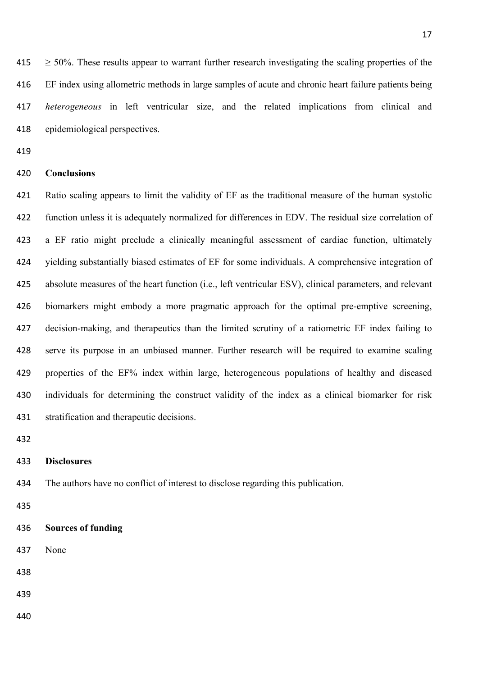$\geq$  50%. These results appear to warrant further research investigating the scaling properties of the EF index using allometric methods in large samples of acute and chronic heart failure patients being *heterogeneous* in left ventricular size, and the related implications from clinical and epidemiological perspectives.

# **Conclusions**

 Ratio scaling appears to limit the validity of EF as the traditional measure of the human systolic function unless it is adequately normalized for differences in EDV. The residual size correlation of a EF ratio might preclude a clinically meaningful assessment of cardiac function, ultimately yielding substantially biased estimates of EF for some individuals. A comprehensive integration of absolute measures of the heart function (i.e., left ventricular ESV), clinical parameters, and relevant biomarkers might embody a more pragmatic approach for the optimal pre-emptive screening, decision-making, and therapeutics than the limited scrutiny of a ratiometric EF index failing to serve its purpose in an unbiased manner. Further research will be required to examine scaling properties of the EF% index within large, heterogeneous populations of healthy and diseased individuals for determining the construct validity of the index as a clinical biomarker for risk stratification and therapeutic decisions.

### **Disclosures**

- The authors have no conflict of interest to disclose regarding this publication.
- 
- **Sources of funding**
- None
- 
- 
-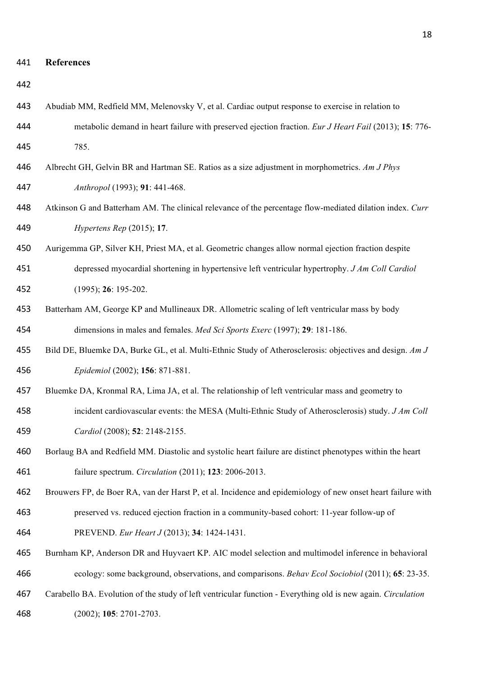#### **References**

- Abudiab MM, Redfield MM, Melenovsky V, et al. Cardiac output response to exercise in relation to
- metabolic demand in heart failure with preserved ejection fraction. *Eur J Heart Fail* (2013); **15**: 776- 785.
- Albrecht GH, Gelvin BR and Hartman SE. Ratios as a size adjustment in morphometrics. *Am J Phys Anthropol* (1993); **91**: 441-468.
- Atkinson G and Batterham AM. The clinical relevance of the percentage flow-mediated dilation index. *Curr Hypertens Rep* (2015); **17**.
- Aurigemma GP, Silver KH, Priest MA, et al. Geometric changes allow normal ejection fraction despite
- depressed myocardial shortening in hypertensive left ventricular hypertrophy. *J Am Coll Cardiol* (1995); **26**: 195-202.
- Batterham AM, George KP and Mullineaux DR. Allometric scaling of left ventricular mass by body dimensions in males and females. *Med Sci Sports Exerc* (1997); **29**: 181-186.
- Bild DE, Bluemke DA, Burke GL, et al. Multi-Ethnic Study of Atherosclerosis: objectives and design. *Am J Epidemiol* (2002); **156**: 871-881.
- Bluemke DA, Kronmal RA, Lima JA, et al. The relationship of left ventricular mass and geometry to
- incident cardiovascular events: the MESA (Multi-Ethnic Study of Atherosclerosis) study. *J Am Coll Cardiol* (2008); **52**: 2148-2155.
- Borlaug BA and Redfield MM. Diastolic and systolic heart failure are distinct phenotypes within the heart failure spectrum. *Circulation* (2011); **123**: 2006-2013.
- Brouwers FP, de Boer RA, van der Harst P, et al. Incidence and epidemiology of new onset heart failure with preserved vs. reduced ejection fraction in a community-based cohort: 11-year follow-up of PREVEND. *Eur Heart J* (2013); **34**: 1424-1431.
- Burnham KP, Anderson DR and Huyvaert KP. AIC model selection and multimodel inference in behavioral ecology: some background, observations, and comparisons. *Behav Ecol Sociobiol* (2011); **65**: 23-35.
- 
- Carabello BA. Evolution of the study of left ventricular function Everything old is new again. *Circulation*
- (2002); **105**: 2701-2703.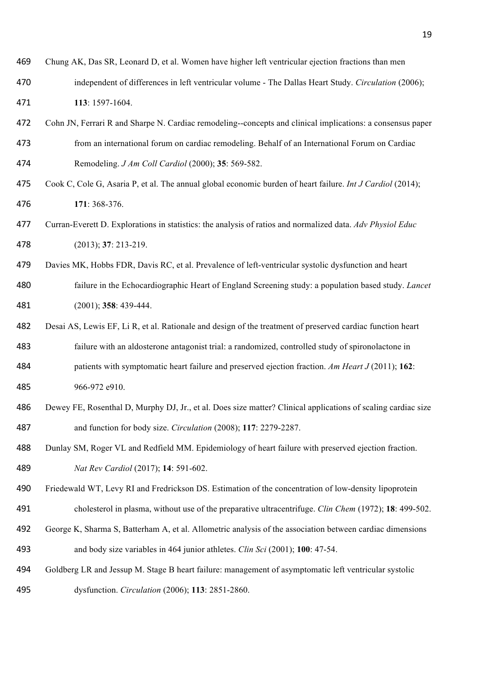- Chung AK, Das SR, Leonard D, et al. Women have higher left ventricular ejection fractions than men independent of differences in left ventricular volume - The Dallas Heart Study. *Circulation* (2006); **113**: 1597-1604.
- Cohn JN, Ferrari R and Sharpe N. Cardiac remodeling--concepts and clinical implications: a consensus paper from an international forum on cardiac remodeling. Behalf of an International Forum on Cardiac Remodeling. *J Am Coll Cardiol* (2000); **35**: 569-582.
- Cook C, Cole G, Asaria P, et al. The annual global economic burden of heart failure. *Int J Cardiol* (2014); **171**: 368-376.
- Curran-Everett D. Explorations in statistics: the analysis of ratios and normalized data. *Adv Physiol Educ* (2013); **37**: 213-219.
- Davies MK, Hobbs FDR, Davis RC, et al. Prevalence of left-ventricular systolic dysfunction and heart failure in the Echocardiographic Heart of England Screening study: a population based study. *Lancet* (2001); **358**: 439-444.
- Desai AS, Lewis EF, Li R, et al. Rationale and design of the treatment of preserved cardiac function heart
- failure with an aldosterone antagonist trial: a randomized, controlled study of spironolactone in
- patients with symptomatic heart failure and preserved ejection fraction. *Am Heart J* (2011); **162**: 966-972 e910.
- Dewey FE, Rosenthal D, Murphy DJ, Jr., et al. Does size matter? Clinical applications of scaling cardiac size and function for body size. *Circulation* (2008); **117**: 2279-2287.
- Dunlay SM, Roger VL and Redfield MM. Epidemiology of heart failure with preserved ejection fraction. *Nat Rev Cardiol* (2017); **14**: 591-602.
- Friedewald WT, Levy RI and Fredrickson DS. Estimation of the concentration of low-density lipoprotein cholesterol in plasma, without use of the preparative ultracentrifuge. *Clin Chem* (1972); **18**: 499-502.
- George K, Sharma S, Batterham A, et al. Allometric analysis of the association between cardiac dimensions and body size variables in 464 junior athletes. *Clin Sci* (2001); **100**: 47-54.
- Goldberg LR and Jessup M. Stage B heart failure: management of asymptomatic left ventricular systolic
- dysfunction. *Circulation* (2006); **113**: 2851-2860.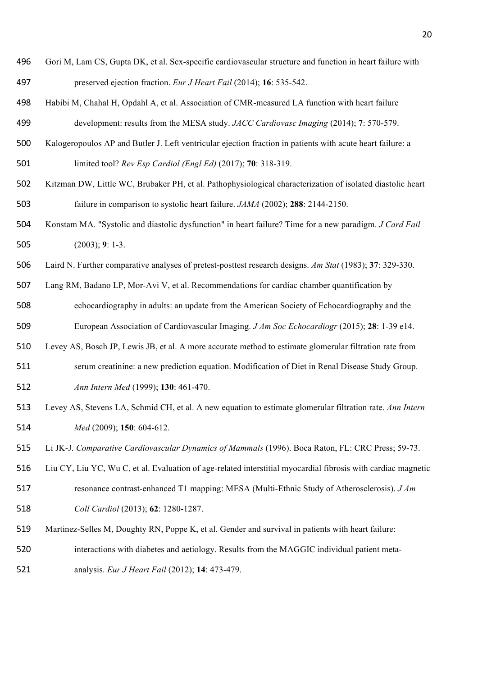- Gori M, Lam CS, Gupta DK, et al. Sex-specific cardiovascular structure and function in heart failure with preserved ejection fraction. *Eur J Heart Fail* (2014); **16**: 535-542.
- Habibi M, Chahal H, Opdahl A, et al. Association of CMR-measured LA function with heart failure development: results from the MESA study. *JACC Cardiovasc Imaging* (2014); **7**: 570-579.
- Kalogeropoulos AP and Butler J. Left ventricular ejection fraction in patients with acute heart failure: a limited tool? *Rev Esp Cardiol (Engl Ed)* (2017); **70**: 318-319.
- Kitzman DW, Little WC, Brubaker PH, et al. Pathophysiological characterization of isolated diastolic heart failure in comparison to systolic heart failure. *JAMA* (2002); **288**: 2144-2150.
- Konstam MA. "Systolic and diastolic dysfunction" in heart failure? Time for a new paradigm. *J Card Fail* (2003); **9**: 1-3.
- Laird N. Further comparative analyses of pretest-posttest research designs. *Am Stat* (1983); **37**: 329-330.
- Lang RM, Badano LP, Mor-Avi V, et al. Recommendations for cardiac chamber quantification by echocardiography in adults: an update from the American Society of Echocardiography and the European Association of Cardiovascular Imaging. *J Am Soc Echocardiogr* (2015); **28**: 1-39 e14.
- Levey AS, Bosch JP, Lewis JB, et al. A more accurate method to estimate glomerular filtration rate from
- serum creatinine: a new prediction equation. Modification of Diet in Renal Disease Study Group. *Ann Intern Med* (1999); **130**: 461-470.
- Levey AS, Stevens LA, Schmid CH, et al. A new equation to estimate glomerular filtration rate. *Ann Intern Med* (2009); **150**: 604-612.
- Li JK-J. *Comparative Cardiovascular Dynamics of Mammals* (1996). Boca Raton, FL: CRC Press; 59-73.
- Liu CY, Liu YC, Wu C, et al. Evaluation of age-related interstitial myocardial fibrosis with cardiac magnetic resonance contrast-enhanced T1 mapping: MESA (Multi-Ethnic Study of Atherosclerosis). *J Am Coll Cardiol* (2013); **62**: 1280-1287.
- Martinez-Selles M, Doughty RN, Poppe K, et al. Gender and survival in patients with heart failure:
- interactions with diabetes and aetiology. Results from the MAGGIC individual patient meta-
- analysis. *Eur J Heart Fail* (2012); **14**: 473-479.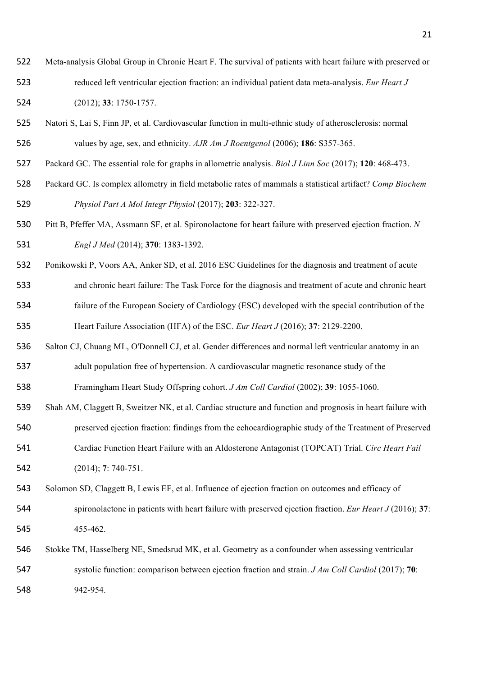Meta-analysis Global Group in Chronic Heart F. The survival of patients with heart failure with preserved or reduced left ventricular ejection fraction: an individual patient data meta-analysis. *Eur Heart J*

(2012); **33**: 1750-1757.

- Natori S, Lai S, Finn JP, et al. Cardiovascular function in multi-ethnic study of atherosclerosis: normal values by age, sex, and ethnicity. *AJR Am J Roentgenol* (2006); **186**: S357-365.
- Packard GC. The essential role for graphs in allometric analysis. *Biol J Linn Soc* (2017); **120**: 468-473.
- Packard GC. Is complex allometry in field metabolic rates of mammals a statistical artifact? *Comp Biochem Physiol Part A Mol Integr Physiol* (2017); **203**: 322-327.
- Pitt B, Pfeffer MA, Assmann SF, et al. Spironolactone for heart failure with preserved ejection fraction. *N Engl J Med* (2014); **370**: 1383-1392.
- Ponikowski P, Voors AA, Anker SD, et al. 2016 ESC Guidelines for the diagnosis and treatment of acute and chronic heart failure: The Task Force for the diagnosis and treatment of acute and chronic heart failure of the European Society of Cardiology (ESC) developed with the special contribution of the Heart Failure Association (HFA) of the ESC. *Eur Heart J* (2016); **37**: 2129-2200.
- Salton CJ, Chuang ML, O'Donnell CJ, et al. Gender differences and normal left ventricular anatomy in an adult population free of hypertension. A cardiovascular magnetic resonance study of the

Framingham Heart Study Offspring cohort. *J Am Coll Cardiol* (2002); **39**: 1055-1060.

- Shah AM, Claggett B, Sweitzer NK, et al. Cardiac structure and function and prognosis in heart failure with preserved ejection fraction: findings from the echocardiographic study of the Treatment of Preserved Cardiac Function Heart Failure with an Aldosterone Antagonist (TOPCAT) Trial. *Circ Heart Fail*
- (2014); **7**: 740-751.
- Solomon SD, Claggett B, Lewis EF, et al. Influence of ejection fraction on outcomes and efficacy of spironolactone in patients with heart failure with preserved ejection fraction. *Eur Heart J* (2016); **37**: 455-462.
- Stokke TM, Hasselberg NE, Smedsrud MK, et al. Geometry as a confounder when assessing ventricular systolic function: comparison between ejection fraction and strain. *J Am Coll Cardiol* (2017); **70**:
- 942-954.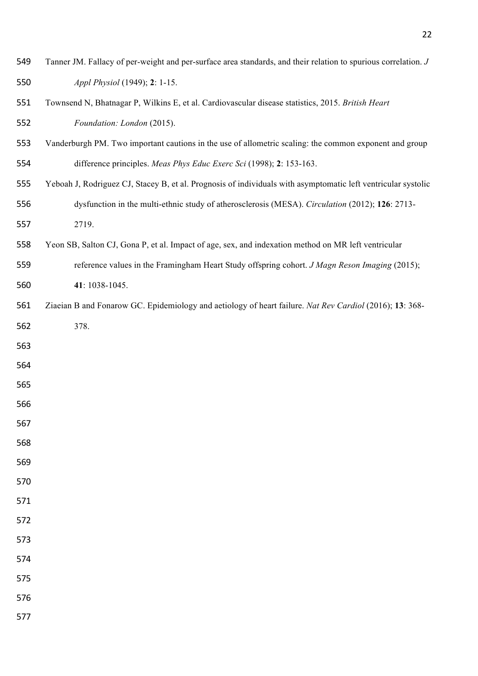| 549        | Tanner JM. Fallacy of per-weight and per-surface area standards, and their relation to spurious correlation. J |
|------------|----------------------------------------------------------------------------------------------------------------|
| 550        | Appl Physiol (1949); 2: 1-15.                                                                                  |
| 551        | Townsend N, Bhatnagar P, Wilkins E, et al. Cardiovascular disease statistics, 2015. British Heart              |
| 552        | Foundation: London (2015).                                                                                     |
| 553        | Vanderburgh PM. Two important cautions in the use of allometric scaling: the common exponent and group         |
| 554        | difference principles. Meas Phys Educ Exerc Sci (1998); 2: 153-163.                                            |
| 555        | Yeboah J, Rodriguez CJ, Stacey B, et al. Prognosis of individuals with asymptomatic left ventricular systolic  |
| 556        | dysfunction in the multi-ethnic study of atherosclerosis (MESA). <i>Circulation</i> (2012); 126: 2713-         |
| 557        | 2719.                                                                                                          |
| 558        | Yeon SB, Salton CJ, Gona P, et al. Impact of age, sex, and indexation method on MR left ventricular            |
| 559        | reference values in the Framingham Heart Study offspring cohort. <i>J Magn Reson Imaging</i> (2015);           |
| 560        | 41: 1038-1045.                                                                                                 |
| 561        | Ziaeian B and Fonarow GC. Epidemiology and aetiology of heart failure. Nat Rev Cardiol (2016); 13: 368-        |
| 562        | 378.                                                                                                           |
| 563        |                                                                                                                |
| 564        |                                                                                                                |
| 565        |                                                                                                                |
| 566        |                                                                                                                |
| 567        |                                                                                                                |
| 568        |                                                                                                                |
| 569        |                                                                                                                |
| 570        |                                                                                                                |
| 571        |                                                                                                                |
| 572        |                                                                                                                |
| 573        |                                                                                                                |
| 574        |                                                                                                                |
| 575        |                                                                                                                |
| 576<br>577 |                                                                                                                |
|            |                                                                                                                |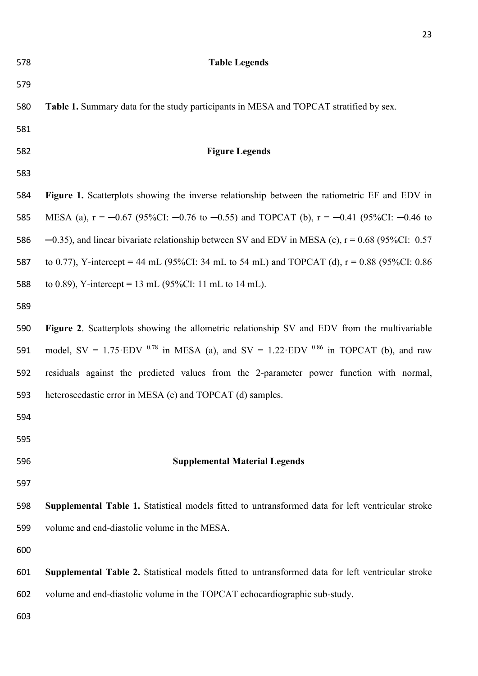| 578 | <b>Table Legends</b>                                                                               |
|-----|----------------------------------------------------------------------------------------------------|
| 579 |                                                                                                    |
| 580 | Table 1. Summary data for the study participants in MESA and TOPCAT stratified by sex.             |
| 581 |                                                                                                    |
| 582 | <b>Figure Legends</b>                                                                              |
| 583 |                                                                                                    |
| 584 | Figure 1. Scatterplots showing the inverse relationship between the ratiometric EF and EDV in      |
| 585 | MESA (a), $r = -0.67$ (95%CI: $-0.76$ to $-0.55$ ) and TOPCAT (b), $r = -0.41$ (95%CI: $-0.46$ to  |
| 586 | $-0.35$ ), and linear bivariate relationship between SV and EDV in MESA (c), r = 0.68 (95%CI: 0.57 |
| 587 | to 0.77), Y-intercept = 44 mL (95%CI: 34 mL to 54 mL) and TOPCAT (d), $r = 0.88$ (95%CI: 0.86      |
| 588 | to 0.89), Y-intercept = 13 mL (95%CI: 11 mL to 14 mL).                                             |
| 589 |                                                                                                    |
| 590 | Figure 2. Scatterplots showing the allometric relationship SV and EDV from the multivariable       |
| 591 | model, SV = 1.75 EDV $^{0.78}$ in MESA (a), and SV = 1.22 EDV $^{0.86}$ in TOPCAT (b), and raw     |
| 592 | residuals against the predicted values from the 2-parameter power function with normal,            |
| 593 | heteroscedastic error in MESA (c) and TOPCAT (d) samples.                                          |
| 594 |                                                                                                    |
| 595 |                                                                                                    |
| 596 | <b>Supplemental Material Legends</b>                                                               |
| 597 |                                                                                                    |
| 598 | Supplemental Table 1. Statistical models fitted to untransformed data for left ventricular stroke  |
| 599 | volume and end-diastolic volume in the MESA.                                                       |
| 600 |                                                                                                    |
| 601 | Supplemental Table 2. Statistical models fitted to untransformed data for left ventricular stroke  |
| 602 | volume and end-diastolic volume in the TOPCAT echocardiographic sub-study.                         |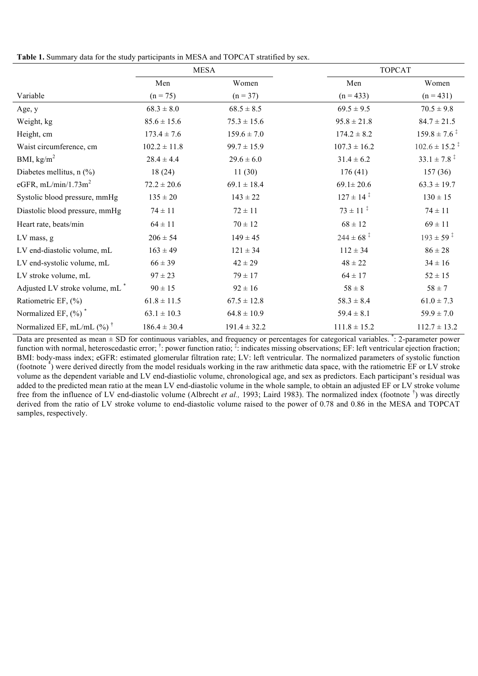|                                            | <b>MESA</b>      |                  |                           | <b>TOPCAT</b>               |  |
|--------------------------------------------|------------------|------------------|---------------------------|-----------------------------|--|
|                                            | Men              | Women            | Men                       | Women                       |  |
| Variable                                   | $(n = 75)$       | $(n = 37)$       | $(n = 433)$               | $(n = 431)$                 |  |
| Age, y                                     | $68.3 \pm 8.0$   | $68.5 \pm 8.5$   | $69.5 \pm 9.5$            | $70.5 \pm 9.8$              |  |
| Weight, kg                                 | $85.6 \pm 15.6$  | $75.3 \pm 15.6$  | $95.8 \pm 21.8$           | $84.7 \pm 21.5$             |  |
| Height, cm                                 | $173.4 \pm 7.6$  | $159.6 \pm 7.0$  | $174.2 \pm 8.2$           | $159.8 \pm 7.6^{\ddagger}$  |  |
| Waist circumference, cm                    | $102.2 \pm 11.8$ | $99.7 \pm 15.9$  | $107.3 \pm 16.2$          | $102.6 \pm 15.2^{\ddagger}$ |  |
| BMI, $\text{kg/m}^2$                       | $28.4 \pm 4.4$   | $29.6 \pm 6.0$   | $31.4 \pm 6.2$            | $33.1 \pm 7.8^{\ddagger}$   |  |
| Diabetes mellitus, n $(\%)$                | 18(24)           | 11(30)           | 176(41)                   | 157(36)                     |  |
| eGFR, $mL/min/1.73m2$                      | $72.2 \pm 20.6$  | $69.1 \pm 18.4$  | $69.1 \pm 20.6$           | $63.3 \pm 19.7$             |  |
| Systolic blood pressure, mmHg              | $135 \pm 20$     | $143 \pm 22$     | $127 \pm 14$ <sup>‡</sup> | $130 \pm 15$                |  |
| Diastolic blood pressure, mmHg             | $74 \pm 11$      | $72 \pm 11$      | $73 \pm 11^{\frac{1}{4}}$ | $74 \pm 11$                 |  |
| Heart rate, beats/min                      | $64 \pm 11$      | $70 \pm 12$      | $68 \pm 12$               | $69 \pm 11$                 |  |
| LV mass, g                                 | $206 \pm 54$     | $149 \pm 45$     | $244 \pm 68$ <sup>‡</sup> | $193 \pm 59^{\text{+}}$     |  |
| LV end-diastolic volume, mL                | $163 \pm 49$     | $121 \pm 34$     | $112 \pm 34$              | $86 \pm 28$                 |  |
| LV end-systolic volume, mL                 | $66 \pm 39$      | $42 \pm 29$      | $48 \pm 22$               | $34 \pm 16$                 |  |
| LV stroke volume, mL                       | $97 \pm 23$      | $79 \pm 17$      | $64 \pm 17$               | $52 \pm 15$                 |  |
| Adjusted LV stroke volume, mL <sup>*</sup> | $90 \pm 15$      | $92 \pm 16$      | $58\pm8$                  | $58 \pm 7$                  |  |
| Ratiometric EF, (%)                        | $61.8 \pm 11.5$  | $67.5 \pm 12.8$  | $58.3 \pm 8.4$            | $61.0 \pm 7.3$              |  |
| Normalized EF, $(\%)^*$                    | $63.1 \pm 10.3$  | $64.8 \pm 10.9$  | $59.4 \pm 8.1$            | $59.9 \pm 7.0$              |  |
| Normalized EF, mL/mL $(\% )^{\dagger}$     | $186.4 \pm 30.4$ | $191.4 \pm 32.2$ | $111.8 \pm 15.2$          | $112.7 \pm 13.2$            |  |

**Table 1.** Summary data for the study participants in MESA and TOPCAT stratified by sex.

Data are presented as mean  $\pm$  SD for continuous variables, and frequency or percentages for categorical variables.  $\ddot{\cdot}$ : 2-parameter power function with normal, heteroscedastic error; <sup>†</sup>: power function ratio; <sup>‡</sup>: indicates missing observations; EF: left ventricular ejection fraction; BMI: body-mass index; eGFR: estimated glomerular filtration rate; LV: left ventricular. The normalized parameters of systolic function (footnote \* ) were derived directly from the model residuals working in the raw arithmetic data space, with the ratiometric EF or LV stroke volume as the dependent variable and LV end-diastiolic volume, chronological age, and sex as predictors. Each participant's residual was added to the predicted mean ratio at the mean LV end-diastolic volume in the whole sample, to obtain an adjusted EF or LV stroke volume free from the influence of LV end-diastolic volume (Albrecht *et al.*, 1993; Laird 1983). The normalized index (footnote <sup>†</sup>) was directly derived from the ratio of LV stroke volume to end-diastolic volume raised to the power of 0.78 and 0.86 in the MESA and TOPCAT samples, respectively.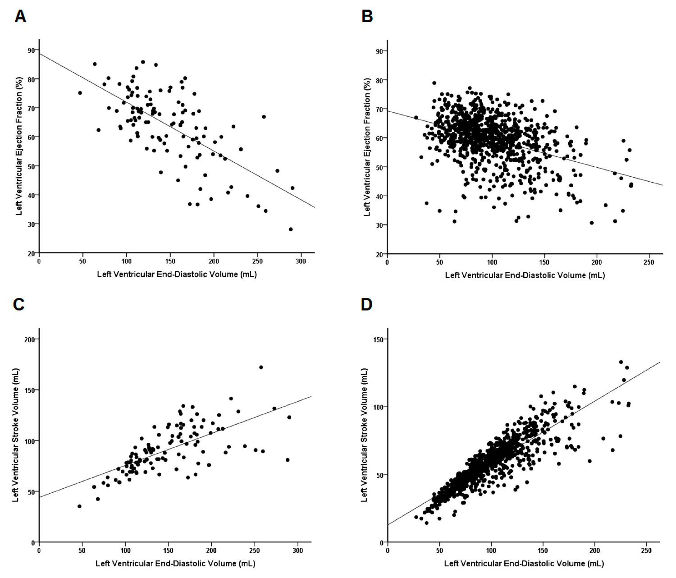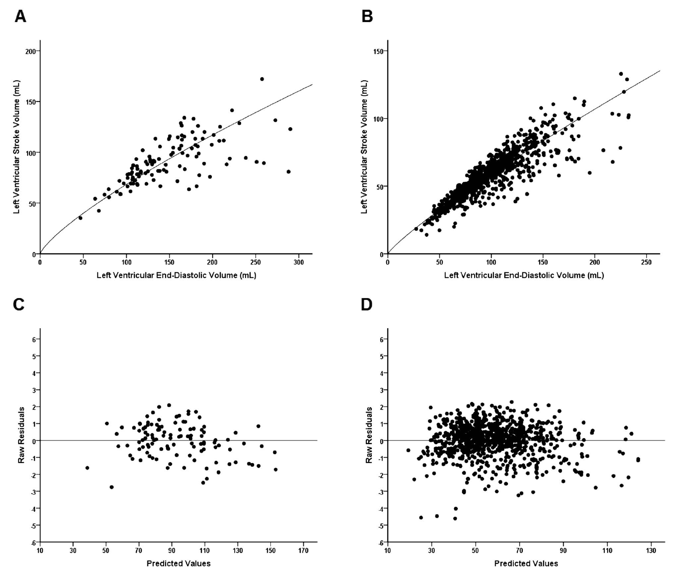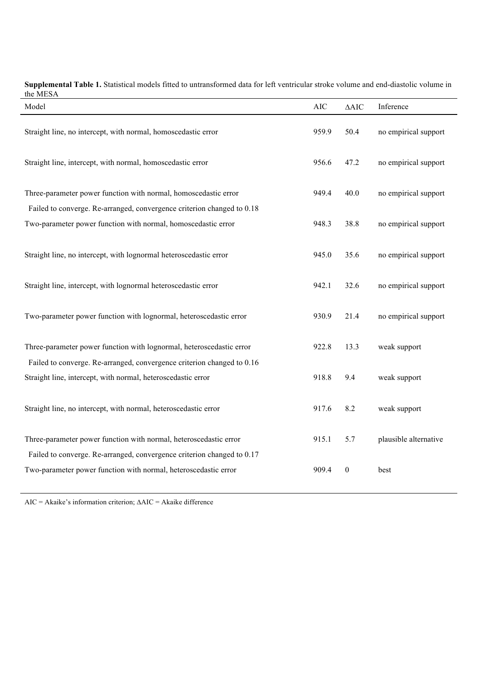| the meda<br>Model                                                      | $\rm AIC$ | $\triangle AIC$  | Inference             |
|------------------------------------------------------------------------|-----------|------------------|-----------------------|
|                                                                        |           |                  |                       |
| Straight line, no intercept, with normal, homoscedastic error          | 959.9     | 50.4             | no empirical support  |
| Straight line, intercept, with normal, homoscedastic error             | 956.6     | 47.2             | no empirical support  |
| Three-parameter power function with normal, homoscedastic error        | 949.4     | 40.0             | no empirical support  |
| Failed to converge. Re-arranged, convergence criterion changed to 0.18 |           |                  |                       |
| Two-parameter power function with normal, homoscedastic error          | 948.3     | 38.8             | no empirical support  |
| Straight line, no intercept, with lognormal heteroscedastic error      | 945.0     | 35.6             | no empirical support  |
| Straight line, intercept, with lognormal heteroscedastic error         | 942.1     | 32.6             | no empirical support  |
|                                                                        |           |                  |                       |
| Two-parameter power function with lognormal, heteroscedastic error     | 930.9     | 21.4             | no empirical support  |
| Three-parameter power function with lognormal, heteroscedastic error   | 922.8     | 13.3             | weak support          |
| Failed to converge. Re-arranged, convergence criterion changed to 0.16 |           |                  |                       |
| Straight line, intercept, with normal, heteroscedastic error           | 918.8     | 9.4              | weak support          |
|                                                                        |           |                  |                       |
| Straight line, no intercept, with normal, heteroscedastic error        | 917.6     | 8.2              | weak support          |
| Three-parameter power function with normal, heteroscedastic error      | 915.1     | 5.7              | plausible alternative |
| Failed to converge. Re-arranged, convergence criterion changed to 0.17 |           |                  |                       |
|                                                                        |           |                  |                       |
| Two-parameter power function with normal, heteroscedastic error        | 909.4     | $\boldsymbol{0}$ | best                  |

**Supplemental Table 1.** Statistical models fitted to untransformed data for left ventricular stroke volume and end-diastolic volume in the MESA

 $AIC = Akaike's information criterion; \Delta AIC = Akaike difference$